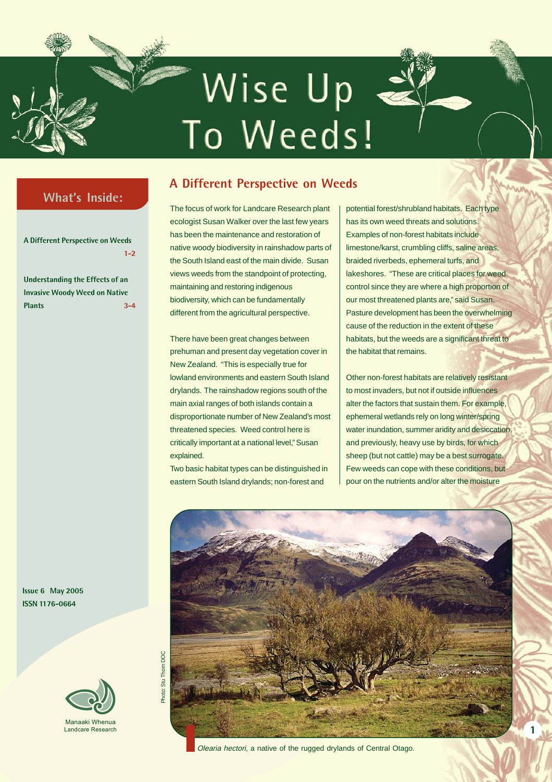# Wise Up To Weeds!

## **What's Inside:**

**A Different Perspective on Weeds 1-2**

**Understanding the Effects of an Invasive Woody Weed on Native Plants 3-4**

**Issue 6 May 2005 ISSN 1176-0664**



## **A Different Perspective on Weeds**

The focus of work for Landcare Research plant ecologist Susan Walker over the last few years has been the maintenance and restoration of native woody biodiversity in rainshadow parts of the South Island east of the main divide. Susan views weeds from the standpoint of protecting, maintaining and restoring indigenous biodiversity, which can be fundamentally different from the agricultural perspective.

There have been great changes between prehuman and present day vegetation cover in New Zealand. "This is especially true for lowland environments and eastern South Island drylands. The rainshadow regions south of the main axial ranges of both islands contain a disproportionate number of New Zealand's most threatened species. Weed control here is critically important at a national level," Susan explained.

Two basic habitat types can be distinguished in eastern South Island drylands; non-forest and

potential forest/shrubland habitats. Each type has its own weed threats and solutions. Examples of non-forest habitats include limestone/karst, crumbling cliffs, saline areas, braided riverbeds, ephemeral turfs, and lakeshores. "These are critical places for weed control since they are where a high proportion of our most threatened plants are," said Susan. Pasture development has been the overwhelming cause of the reduction in the extent of these habitats, but the weeds are a significant threat to the habitat that remains.

Other non-forest habitats are relatively resistant to most invaders, but not if outside influences alter the factors that sustain them. For example, ephemeral wetlands rely on long winter/spring water inundation, summer aridity and desiccation, and previously, heavy use by birds, for which sheep (but not cattle) may be a best surrogate. Few weeds can cope with these conditions, but pour on the nutrients and/or alter the moisture

**1**



Olearia hectori, a native of the rugged drylands of Central Otago.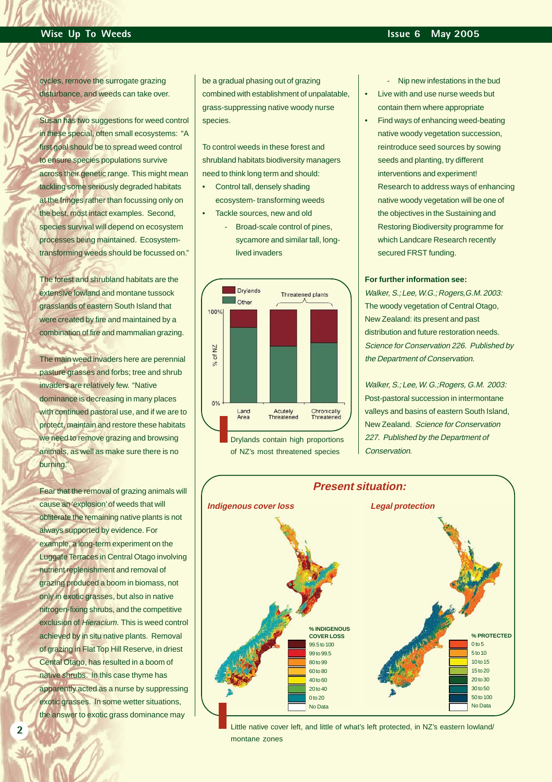cycles, remove the surrogate grazing disturbance, and weeds can take over.

Susan has two suggestions for weed control in these special, often small ecosystems: "A first goal should be to spread weed control to ensure species populations survive across their genetic range. This might mean tackling some seriously degraded habitats at the fringes rather than focussing only on the best, most intact examples. Second, species survival will depend on ecosystem processes being maintained. Ecosystemtransforming weeds should be focussed on."

The forest and shrubland habitats are the extensive lowland and montane tussock grasslands of eastern South Island that were created by fire and maintained by a combination of fire and mammalian grazing.

The main weed invaders here are perennial pasture grasses and forbs; tree and shrub invaders are relatively few. "Native dominance is decreasing in many places with continued pastoral use, and if we are to protect, maintain and restore these habitats we need to remove grazing and browsing animals, as well as make sure there is no burning."

Fear that the removal of grazing animals will cause an 'explosion' of weeds that will obliterate the remaining native plants is not always supported by evidence. For example, a long-term experiment on the Luggate Terraces in Central Otago involving nutrient replenishment and removal of grazing produced a boom in biomass, not only in exotic grasses, but also in native nitrogen-fixing shrubs, and the competitive exclusion of Hieracium. This is weed control achieved by in situ native plants. Removal of grazing in Flat Top Hill Reserve, in driest Cental Otago, has resulted in a boom of native shrubs. In this case thyme has apparently acted as a nurse by suppressing exotic grasses. In some wetter situations, the answer to exotic grass dominance may

be a gradual phasing out of grazing combined with establishment of unpalatable, grass-suppressing native woody nurse species.

To control weeds in these forest and shrubland habitats biodiversity managers need to think long term and should:

- Control tall, densely shading ecosystem- transforming weeds
	- Tackle sources, new and old - Broad-scale control of pines, sycamore and similar tall, longlived invaders



of NZ's most threatened species

- Nip new infestations in the bud Live with and use nurse weeds but contain them where appropriate

• Find ways of enhancing weed-beating native woody vegetation succession, reintroduce seed sources by sowing seeds and planting, try different interventions and experiment! Research to address ways of enhancing native woody vegetation will be one of the objectives in the Sustaining and Restoring Biodiversity programme for which Landcare Research recently secured FRST funding.

#### **For further information see:**

Walker, S.: Lee, W.G.: Rogers, G.M. 2003: The woody vegetation of Central Otago, New Zealand: its present and past distribution and future restoration needs. Science for Conservation 226. Published by the Department of Conservation.

Walker, S.; Lee, W. G.;Rogers, G.M. 2003: Post-pastoral succession in intermontane valleys and basins of eastern South Island, New Zealand. Science for Conservation 227. Published by the Department of Conservation.



Little native cover left, and little of what's left protected, in NZ's eastern lowland/ montane zones

**2**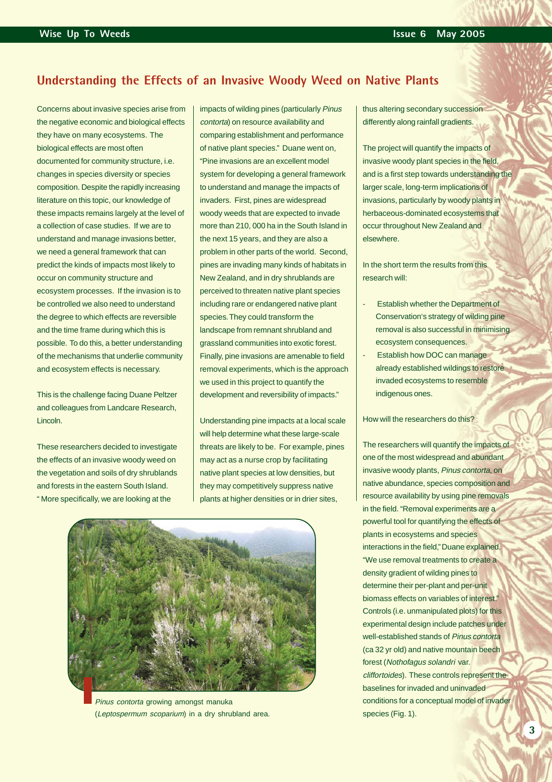### **Understanding the Effects of an Invasive Woody Weed on Native Plants**

Concerns about invasive species arise from the negative economic and biological effects they have on many ecosystems. The biological effects are most often documented for community structure, i.e. changes in species diversity or species composition. Despite the rapidly increasing literature on this topic, our knowledge of these impacts remains largely at the level of a collection of case studies. If we are to understand and manage invasions better, we need a general framework that can predict the kinds of impacts most likely to occur on community structure and ecosystem processes. If the invasion is to be controlled we also need to understand the degree to which effects are reversible and the time frame during which this is possible. To do this, a better understanding of the mechanisms that underlie community and ecosystem effects is necessary.

This is the challenge facing Duane Peltzer and colleagues from Landcare Research, Lincoln.

These researchers decided to investigate the effects of an invasive woody weed on the vegetation and soils of dry shrublands and forests in the eastern South Island. " More specifically, we are looking at the

impacts of wilding pines (particularly Pinus contorta) on resource availability and comparing establishment and performance of native plant species." Duane went on, "Pine invasions are an excellent model system for developing a general framework to understand and manage the impacts of invaders. First, pines are widespread woody weeds that are expected to invade more than 210, 000 ha in the South Island in the next 15 years, and they are also a problem in other parts of the world. Second, pines are invading many kinds of habitats in New Zealand, and in dry shrublands are perceived to threaten native plant species including rare or endangered native plant species. They could transform the landscape from remnant shrubland and grassland communities into exotic forest. Finally, pine invasions are amenable to field removal experiments, which is the approach we used in this project to quantify the development and reversibility of impacts."

Understanding pine impacts at a local scale will help determine what these large-scale threats are likely to be. For example, pines may act as a nurse crop by facilitating native plant species at low densities, but they may competitively suppress native plants at higher densities or in drier sites,



Pinus contorta growing amongst manuka (Leptospermum scoparium) in a dry shrubland area.

thus altering secondary succession differently along rainfall gradients.

The project will quantify the impacts of invasive woody plant species in the field, and is a first step towards understanding the larger scale, long-term implications of invasions, particularly by woody plants in herbaceous-dominated ecosystems that occur throughout New Zealand and elsewhere.

In the short term the results from this research will:

- **Establish whether the Department of** Conservation's strategy of wilding pine removal is also successful in minimising ecosystem consequences.
- Establish how DOC can manage already established wildings to restore invaded ecosystems to resemble indigenous ones.

#### How will the researchers do this?

The researchers will quantify the impacts of one of the most widespread and abundant invasive woody plants, Pinus contorta, on native abundance, species composition and resource availability by using pine removals in the field. "Removal experiments are a powerful tool for quantifying the effects of plants in ecosystems and species interactions in the field," Duane explained. "We use removal treatments to create a density gradient of wilding pines to determine their per-plant and per-unit biomass effects on variables of interest." Controls (i.e. unmanipulated plots) for this experimental design include patches under well-established stands of Pinus contorta (ca 32 yr old) and native mountain beech forest (Nothofagus solandri var. cliffortoides). These controls represent the baselines for invaded and uninvaded conditions for a conceptual model of invader species (Fig. 1).